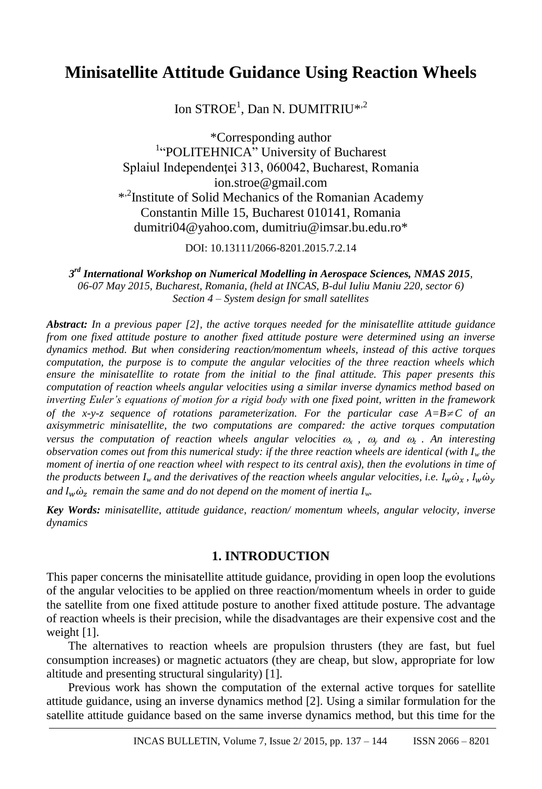# **Minisatellite Attitude Guidance Using Reaction Wheels**

Ion  $\text{STROE}^1$ , Dan N. DUMITRIU\*<sup>2</sup>

\*Corresponding author <sup>1</sup>"POLITEHNICA" University of Bucharest Splaiul Independenței 313, 060042, Bucharest, Romania ion.stroe@gmail.com \* ,2 Institute of Solid Mechanics of the Romanian Academy Constantin Mille 15, Bucharest 010141, Romania dumitri04@yahoo.com, dumitriu@imsar.bu.edu.ro\*

DOI: 10.13111/2066-8201.2015.7.2.14

*3 rd International Workshop on Numerical Modelling in Aerospace Sciences, NMAS 2015, 06-07 May 2015, Bucharest, Romania, (held at INCAS, B-dul Iuliu Maniu 220, sector 6) Section 4 – System design for small satellites*

*Abstract: In a previous paper [2], the active torques needed for the minisatellite attitude guidance from one fixed attitude posture to another fixed attitude posture were determined using an inverse dynamics method. But when considering reaction/momentum wheels, instead of this active torques computation, the purpose is to compute the angular velocities of the three reaction wheels which ensure the minisatellite to rotate from the initial to the final attitude. This paper presents this computation of reaction wheels angular velocities using a similar inverse dynamics method based on inverting Euler's equations of motion for a rigid body with one fixed point, written in the framework of the x-y-z sequence of rotations parameterization. For the particular case*  $A=B\neq C$  *of an axisymmetric minisatellite, the two computations are compared: the active torques computation versus the computation of reaction wheels angular velocities*  $\omega_x$ *,*  $\omega_y$  *and*  $\omega_z$ *. An interesting observation comes out from this numerical study: if the three reaction wheels are identical (with I<sup>w</sup> the moment of inertia of one reaction wheel with respect to its central axis), then the evolutions in time of the products between I<sub><i>w*</sub> and the derivatives of the reaction wheels angular velocities, i.e.  $I_w \dot{\omega}_x$ ,  $I_w \dot{\omega}_y$ and  $I_w\dot{\omega}_z$  remain the same and do not depend on the moment of inertia  $I_w$ .

*Key Words: minisatellite, attitude guidance, reaction/ momentum wheels, angular velocity, inverse dynamics*

#### **1. INTRODUCTION**

This paper concerns the minisatellite attitude guidance, providing in open loop the evolutions of the angular velocities to be applied on three reaction/momentum wheels in order to guide the satellite from one fixed attitude posture to another fixed attitude posture. The advantage of reaction wheels is their precision, while the disadvantages are their expensive cost and the weight [1].

The alternatives to reaction wheels are propulsion thrusters (they are fast, but fuel consumption increases) or magnetic actuators (they are cheap, but slow, appropriate for low altitude and presenting structural singularity) [1].

Previous work has shown the computation of the external active torques for satellite attitude guidance, using an inverse dynamics method [2]. Using a similar formulation for the satellite attitude guidance based on the same inverse dynamics method, but this time for the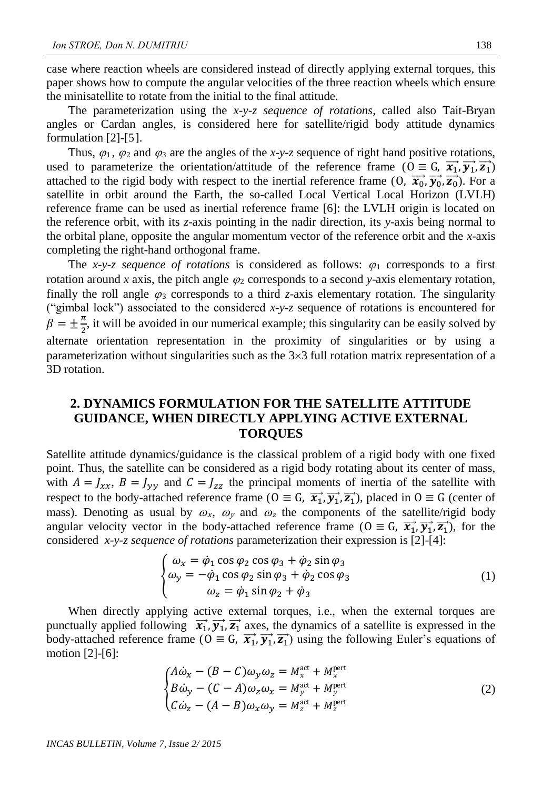case where reaction wheels are considered instead of directly applying external torques, this paper shows how to compute the angular velocities of the three reaction wheels which ensure the minisatellite to rotate from the initial to the final attitude.

The parameterization using the *x-y-z sequence of rotations*, called also Tait-Bryan angles or Cardan angles, is considered here for satellite/rigid body attitude dynamics formulation [2]-[5].

Thus,  $\varphi_1$ ,  $\varphi_2$  and  $\varphi_3$  are the angles of the *x*-y-*z* sequence of right hand positive rotations, used to parameterize the orientation/attitude of the reference frame ( $0 \equiv G, \overrightarrow{x_1}, \overrightarrow{y_1}, \overrightarrow{z_1}$ ) attached to the rigid body with respect to the inertial reference frame  $(0, \overrightarrow{x_0}, \overrightarrow{y_0}, \overrightarrow{z_0})$ . For a satellite in orbit around the Earth, the so-called Local Vertical Local Horizon (LVLH) reference frame can be used as inertial reference frame [6]: the LVLH origin is located on the reference orbit, with its *z*-axis pointing in the nadir direction, its *y*-axis being normal to the orbital plane, opposite the angular momentum vector of the reference orbit and the *x*-axis completing the right-hand orthogonal frame.

The *x-y-z sequence of rotations* is considered as follows:  $\varphi_1$  corresponds to a first rotation around *x* axis, the pitch angle  $\varphi_2$  corresponds to a second *y*-axis elementary rotation, finally the roll angle  $\varphi_3$  corresponds to a third *z*-axis elementary rotation. The singularity ("gimbal lock") associated to the considered *x*-*y*-*z* sequence of rotations is encountered for  $\beta = \pm \frac{\pi}{2}$  $\frac{\pi}{2}$ , it will be avoided in our numerical example; this singularity can be easily solved by alternate orientation representation in the proximity of singularities or by using a parameterization without singularities such as the  $3\times3$  full rotation matrix representation of a 3D rotation.

## **2. DYNAMICS FORMULATION FOR THE SATELLITE ATTITUDE GUIDANCE, WHEN DIRECTLY APPLYING ACTIVE EXTERNAL TORQUES**

Satellite attitude dynamics/guidance is the classical problem of a rigid body with one fixed point. Thus, the satellite can be considered as a rigid body rotating about its center of mass, with  $A = J_{xx}$ ,  $B = J_{yy}$  and  $C = J_{zz}$  the principal moments of inertia of the satellite with respect to the body-attached reference frame ( $0 \equiv G$ ,  $\vec{x_1}$ ,  $\vec{y_1}$ ,  $\vec{z_1}$ ), placed in  $0 \equiv G$  (center of mass). Denoting as usual by  $\omega_x$ ,  $\omega_y$  and  $\omega_z$  the components of the satellite/rigid body angular velocity vector in the body-attached reference frame ( $0 \equiv G, \overrightarrow{x_1}, \overrightarrow{y_1}, \overrightarrow{z_1}$ ), for the considered *x-y-z sequence of rotations* parameterization their expression is [2]-[4]:

$$
\begin{cases}\n\omega_x = \dot{\varphi}_1 \cos \varphi_2 \cos \varphi_3 + \dot{\varphi}_2 \sin \varphi_3 \\
\omega_y = -\dot{\varphi}_1 \cos \varphi_2 \sin \varphi_3 + \dot{\varphi}_2 \cos \varphi_3 \\
\omega_z = \dot{\varphi}_1 \sin \varphi_2 + \dot{\varphi}_3\n\end{cases}
$$
\n(1)

When directly applying active external torques, i.e., when the external torques are punctually applied following  $\vec{x_1}$ ,  $\vec{y_1}$ ,  $\vec{z_1}$  axes, the dynamics of a satellite is expressed in the body-attached reference frame ( $0 \equiv G$ ,  $\vec{x_1}$ ,  $\vec{y_1}$ ,  $\vec{z_1}$ ) using the following Euler's equations of motion [2]-[6]:

$$
\begin{cases}\nA\dot{\omega}_x - (B - C)\omega_y \omega_z = M_x^{\text{act}} + M_x^{\text{pert}} \\
B\dot{\omega}_y - (C - A)\omega_z \omega_x = M_y^{\text{act}} + M_y^{\text{pert}} \\
C\dot{\omega}_z - (A - B)\omega_x \omega_y = M_z^{\text{act}} + M_z^{\text{pert}}\n\end{cases} \tag{2}
$$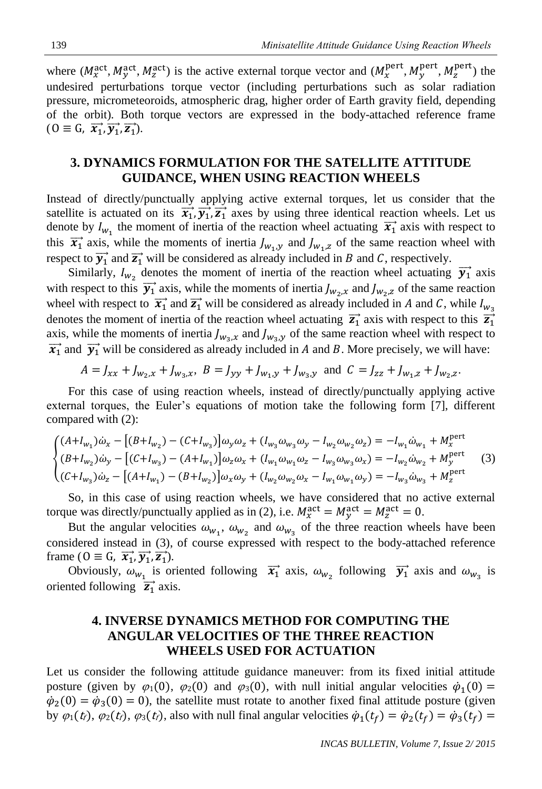where  $(M_x^{\text{act}}, M_y^{\text{act}}, M_z^{\text{act}})$  is the active external torque vector and  $(M_x^{\text{pert}}, M_y^{\text{pert}}, M_z^{\text{pert}})$  the undesired perturbations torque vector (including perturbations such as solar radiation pressure, micrometeoroids, atmospheric drag, higher order of Earth gravity field, depending of the orbit). Both torque vectors are expressed in the body-attached reference frame  $(0 \equiv G, \overrightarrow{x_1}, \overrightarrow{y_1}, \overrightarrow{z_1}).$ 

### **3. DYNAMICS FORMULATION FOR THE SATELLITE ATTITUDE GUIDANCE, WHEN USING REACTION WHEELS**

Instead of directly/punctually applying active external torques, let us consider that the satellite is actuated on its  $\vec{x}_1, \vec{y}_1, \vec{z}_1$  axes by using three identical reaction wheels. Let us denote by  $I_{w_1}$  the moment of inertia of the reaction wheel actuating  $\vec{x_1}$  axis with respect to this  $\vec{x_1}$  axis, while the moments of inertia  $J_{w_1,y}$  and  $J_{w_1,z}$  of the same reaction wheel with respect to  $\overrightarrow{y_1}$  and  $\overrightarrow{z_1}$  will be considered as already included in B and C, respectively.

Similarly,  $I_{w_2}$  denotes the moment of inertia of the reaction wheel actuating  $\vec{y_1}$  axis with respect to this  $\vec{y}_1$  axis, while the moments of inertia  $J_{w_2,x}$  and  $J_{w_2,z}$  of the same reaction wheel with respect to  $\vec{x_1}$  and  $\vec{z_1}$  will be considered as already included in A and C, while  $I_{w_3}$ denotes the moment of inertia of the reaction wheel actuating  $\vec{z}_1$  axis with respect to this  $\vec{z}_1$ axis, while the moments of inertia  $J_{w_3,x}$  and  $J_{w_3,y}$  of the same reaction wheel with respect to  $\vec{x_1}$  and  $\vec{y_1}$  will be considered as already included in A and B. More precisely, we will have:

$$
A = J_{xx} + J_{w_2,x} + J_{w_3,x}, B = J_{yy} + J_{w_1,y} + J_{w_3,y} \text{ and } C = J_{zz} + J_{w_1,z} + J_{w_2,z}.
$$

For this case of using reaction wheels, instead of directly/punctually applying active external torques, the Euler's equations of motion take the following form [7], different compared with (2):

$$
\begin{cases}\n(A+I_{w_1})\dot{\omega}_x - \left[ (B+I_{w_2}) - (C+I_{w_3}) \right] \omega_y \omega_z + (I_{w_3} \omega_{w_3} \omega_y - I_{w_2} \omega_{w_2} \omega_z) = -I_{w_1} \dot{\omega}_{w_1} + M_x^{\text{pert}} \\
(B+I_{w_2})\dot{\omega}_y - \left[ (C+I_{w_3}) - (A+I_{w_1}) \right] \omega_z \omega_x + (I_{w_1} \omega_{w_1} \omega_z - I_{w_3} \omega_{w_3} \omega_x) = -I_{w_2} \dot{\omega}_{w_2} + M_y^{\text{pert}} \\
(C+I_{w_3})\dot{\omega}_z - \left[ (A+I_{w_1}) - (B+I_{w_2}) \right] \omega_x \omega_y + (I_{w_2} \omega_{w_2} \omega_x - I_{w_1} \omega_{w_1} \omega_y) = -I_{w_3} \dot{\omega}_{w_3} + M_z^{\text{pert}}\n\end{cases} (3)
$$

So, in this case of using reaction wheels, we have considered that no active external torque was directly/punctually applied as in (2), i.e.  $M_x^{\text{act}} = M_y^{\text{act}} = M_z^{\text{act}} = 0$ .

But the angular velocities  $\omega_{w_1}$ ,  $\omega_{w_2}$  and  $\omega_{w_3}$  of the three reaction wheels have been considered instead in (3), of course expressed with respect to the body-attached reference frame ( $0 \equiv G, \overrightarrow{x_1}, \overrightarrow{y_1}, \overrightarrow{z_1}$ ).

Obviously,  $\omega_{w_1}$  is oriented following  $\vec{x_1}$  axis,  $\omega_{w_2}$  following  $\vec{y_1}$  axis and  $\omega_{w_3}$  is oriented following  $\overrightarrow{z_1}$  axis.

## **4. INVERSE DYNAMICS METHOD FOR COMPUTING THE ANGULAR VELOCITIES OF THE THREE REACTION WHEELS USED FOR ACTUATION**

Let us consider the following attitude guidance maneuver: from its fixed initial attitude posture (given by  $\varphi_1(0)$ ,  $\varphi_2(0)$  and  $\varphi_3(0)$ , with null initial angular velocities  $\dot{\varphi}_1(0)$  =  $\dot{\varphi}_2(0) = \dot{\varphi}_3(0) = 0$ , the satellite must rotate to another fixed final attitude posture (given by  $\varphi_1(t_f)$ ,  $\varphi_2(t_f)$ ,  $\varphi_3(t_f)$ , also with null final angular velocities  $\dot{\varphi}_1(t_f) = \dot{\varphi}_2(t_f) = \dot{\varphi}_3(t_f)$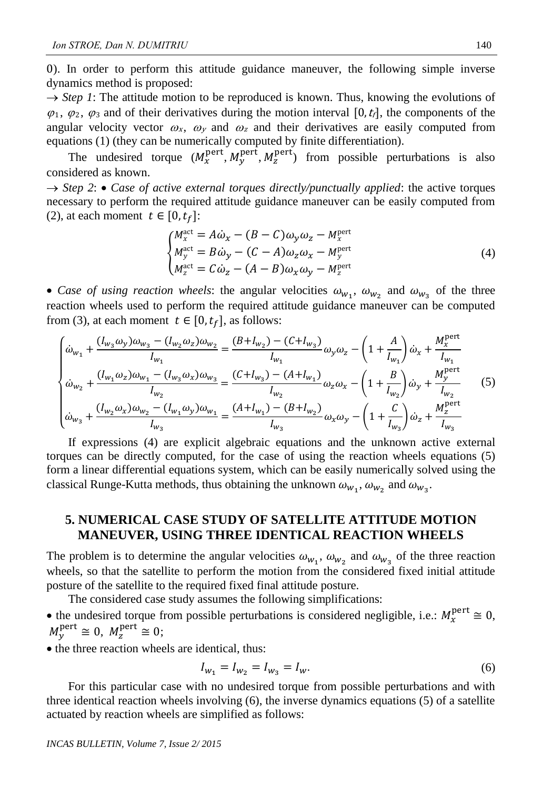0). In order to perform this attitude guidance maneuver, the following simple inverse dynamics method is proposed:

 $\rightarrow$  *Step 1*: The attitude motion to be reproduced is known. Thus, knowing the evolutions of  $\varphi_1$ ,  $\varphi_2$ ,  $\varphi_3$  and of their derivatives during the motion interval [0, t<sub>i</sub>], the components of the angular velocity vector  $\omega_x$ ,  $\omega_y$  and  $\omega_z$  and their derivatives are easily computed from equations (1) (they can be numerically computed by finite differentiation).

The undesired torque  $(M_x^{\text{pert}}, M_y^{\text{pert}}, M_z^{\text{pert}})$  from possible perturbations is also considered as known.

 $\rightarrow$  *Step 2*:  $\bullet$  *Case of active external torques directly/punctually applied*: the active torques necessary to perform the required attitude guidance maneuver can be easily computed from (2), at each moment  $t \in [0,t_f]$ :

$$
\begin{cases}\nM_x^{\text{act}} = A\dot{\omega}_x - (B - C)\omega_y \omega_z - M_x^{\text{pert}} \\
M_y^{\text{act}} = B\dot{\omega}_y - (C - A)\omega_z \omega_x - M_y^{\text{pert}} \\
M_z^{\text{act}} = C\dot{\omega}_z - (A - B)\omega_x \omega_y - M_z^{\text{pert}}\n\end{cases} \tag{4}
$$

• Case of using reaction wheels: the angular velocities  $\omega_{w_1}$ ,  $\omega_{w_2}$  and  $\omega_{w_3}$  of the three reaction wheels used to perform the required attitude guidance maneuver can be computed from (3), at each moment  $t \in [0, t_f]$ , as follows:

$$
\begin{cases}\n\dot{\omega}_{w_1} + \frac{(I_{w_3}\omega_y)\omega_{w_3} - (I_{w_2}\omega_z)\omega_{w_2}}{I_{w_1}} = \frac{(B + I_{w_2}) - (C + I_{w_3})}{I_{w_1}}\omega_y\omega_z - \left(1 + \frac{A}{I_{w_1}}\right)\dot{\omega}_x + \frac{M_x^{\text{pert}}}{I_{w_1}} \\
\dot{\omega}_{w_2} + \frac{(I_{w_1}\omega_z)\omega_{w_1} - (I_{w_3}\omega_x)\omega_{w_3}}{I_{w_2}} = \frac{(C + I_{w_3}) - (A + I_{w_1})}{I_{w_2}}\omega_z\omega_x - \left(1 + \frac{B}{I_{w_2}}\right)\dot{\omega}_y + \frac{M_y^{\text{pert}}}{I_{w_2}} \\
\dot{\omega}_{w_3} + \frac{(I_{w_2}\omega_x)\omega_{w_2} - (I_{w_1}\omega_y)\omega_{w_1}}{I_{w_3}} = \frac{(A + I_{w_1}) - (B + I_{w_2})}{I_{w_3}}\omega_x\omega_y - \left(1 + \frac{C}{I_{w_3}}\right)\dot{\omega}_z + \frac{M_z^{\text{pert}}}{I_{w_3}}\n\end{cases} (5)
$$

If expressions (4) are explicit algebraic equations and the unknown active external torques can be directly computed, for the case of using the reaction wheels equations (5) form a linear differential equations system, which can be easily numerically solved using the classical Runge-Kutta methods, thus obtaining the unknown  $\omega_{w_1}, \omega_{w_2}$  and  $\omega_{w_3}$ .

### **5. NUMERICAL CASE STUDY OF SATELLITE ATTITUDE MOTION MANEUVER, USING THREE IDENTICAL REACTION WHEELS**

The problem is to determine the angular velocities  $\omega_{w_1}$ ,  $\omega_{w_2}$  and  $\omega_{w_3}$  of the three reaction wheels, so that the satellite to perform the motion from the considered fixed initial attitude posture of the satellite to the required fixed final attitude posture.

The considered case study assumes the following simplifications:

• the undesired torque from possible perturbations is considered negligible, i.e.:  $M_{\chi}^{\text{pert}} \cong 0$ ,  $M_{y}^{\text{pert}} \cong 0, M_{z}^{\text{pert}} \cong 0;$ 

 $\bullet$  the three reaction wheels are identical, thus:

$$
I_{w_1} = I_{w_2} = I_{w_3} = I_w.
$$
\n<sup>(6)</sup>

For this particular case with no undesired torque from possible perturbations and with three identical reaction wheels involving (6), the inverse dynamics equations (5) of a satellite actuated by reaction wheels are simplified as follows: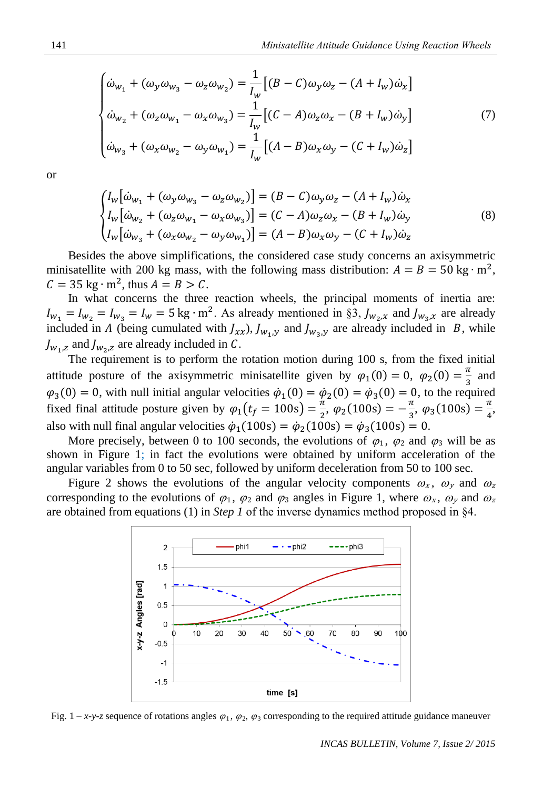$$
\begin{cases}\n\dot{\omega}_{w_1} + (\omega_y \omega_{w_3} - \omega_z \omega_{w_2}) = \frac{1}{I_w} \left[ (B - C) \omega_y \omega_z - (A + I_w) \dot{\omega}_x \right] \\
\dot{\omega}_{w_2} + (\omega_z \omega_{w_1} - \omega_x \omega_{w_3}) = \frac{1}{I_w} \left[ (C - A) \omega_z \omega_x - (B + I_w) \dot{\omega}_y \right] \\
\dot{\omega}_{w_3} + (\omega_x \omega_{w_2} - \omega_y \omega_{w_1}) = \frac{1}{I_w} \left[ (A - B) \omega_x \omega_y - (C + I_w) \dot{\omega}_z \right]\n\end{cases}
$$
\n(7)

or

$$
\begin{cases}\nI_w \big[\dot{\omega}_{w_1} + (\omega_y \omega_{w_3} - \omega_z \omega_{w_2})\big] = (B - C)\omega_y \omega_z - (A + I_w)\dot{\omega}_x \\
I_w \big[\dot{\omega}_{w_2} + (\omega_z \omega_{w_1} - \omega_x \omega_{w_3})\big] = (C - A)\omega_z \omega_x - (B + I_w)\dot{\omega}_y \\
I_w \big[\dot{\omega}_{w_3} + (\omega_x \omega_{w_2} - \omega_y \omega_{w_1})\big] = (A - B)\omega_x \omega_y - (C + I_w)\dot{\omega}_z\n\end{cases}
$$
\n(8)

Besides the above simplifications, the considered case study concerns an axisymmetric minisatellite with 200 kg mass, with the following mass distribution:  $A = B = 50 \text{ kg} \cdot \text{m}^2$ ,  $C = 35 \text{ kg} \cdot \text{m}^2$ , thus  $A = B > C$ .

In what concerns the three reaction wheels, the principal moments of inertia are:  $I_{w_1} = I_{w_2} = I_{w_3} = I_w = 5$  kg⋅m<sup>2</sup>. As already mentioned in §3,  $J_{w_2,x}$  and  $J_{w_3,x}$  are already included in A (being cumulated with  $J_{xx}$ ),  $J_{w_1,y}$  and  $J_{w_3,y}$  are already included in B, while  $J_{w_1, z}$  and  $J_{w_2, z}$  are already included in C.

The requirement is to perform the rotation motion during 100 s, from the fixed initial attitude posture of the axisymmetric minisatellite given by  $\varphi_1(0) = 0$ ,  $\varphi_2(0) = \frac{\pi}{2}$  $\frac{\pi}{3}$  and  $\varphi_3(0) = 0$ , with null initial angular velocities  $\dot{\varphi}_1(0) = \dot{\varphi}_2(0) = \dot{\varphi}_3(0) = 0$ , to the required fixed final attitude posture given by  $\varphi_1(t_f = 100s) = \frac{\pi}{2}$  $\frac{\pi}{2}$ ,  $\varphi_2(100s) = -\frac{\pi}{3}$  $\frac{\pi}{3}$ ,  $\varphi_3(100s) = \frac{\pi}{4}$  $\frac{n}{4}$ also with null final angular velocities  $\dot{\varphi}_1(100s) = \dot{\varphi}_2(100s) = \dot{\varphi}_3(100s) = 0.$ 

More precisely, between 0 to 100 seconds, the evolutions of  $\varphi_1$ ,  $\varphi_2$  and  $\varphi_3$  will be as shown in Figure 1; in fact the evolutions were obtained by uniform acceleration of the angular variables from 0 to 50 sec, followed by uniform deceleration from 50 to 100 sec.

Figure 2 shows the evolutions of the angular velocity components  $\omega_x$ ,  $\omega_y$  and  $\omega_z$ corresponding to the evolutions of  $\varphi_1$ ,  $\varphi_2$  and  $\varphi_3$  angles in Figure 1, where  $\omega_x$ ,  $\omega_y$  and  $\omega_z$ are obtained from equations (1) in *Step 1* of the inverse dynamics method proposed in §4.



Fig.  $1-x-y-z$  sequence of rotations angles  $\varphi_1$ ,  $\varphi_2$ ,  $\varphi_3$  corresponding to the required attitude guidance maneuver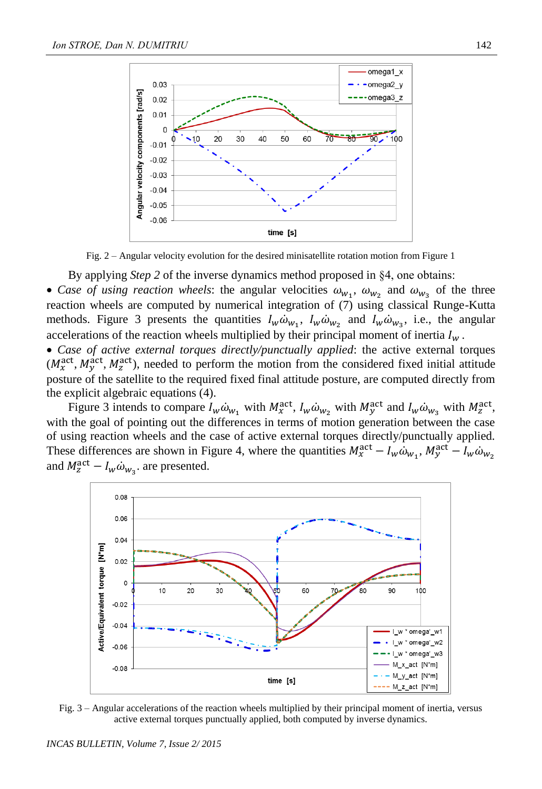

Fig. 2 – Angular velocity evolution for the desired minisatellite rotation motion from Figure 1

By applying *Step 2* of the inverse dynamics method proposed in §4, one obtains:

• Case of using reaction wheels: the angular velocities  $\omega_{w_1}$ ,  $\omega_{w_2}$  and  $\omega_{w_3}$  of the three reaction wheels are computed by numerical integration of (7) using classical Runge-Kutta methods. Figure 3 presents the quantities  $I_w \dot{\omega}_{w_1}$ ,  $I_w \dot{\omega}_{w_2}$  and  $I_w \dot{\omega}_{w_3}$ , i.e., the angular accelerations of the reaction wheels multiplied by their principal moment of inertia  $I_w$ .

 *Case of active external torques directly/punctually applied*: the active external torques  $(M_{\chi}^{\text{act}}, M_{\chi}^{\text{act}}, M_{\chi}^{\text{act}})$ , needed to perform the motion from the considered fixed initial attitude posture of the satellite to the required fixed final attitude posture, are computed directly from the explicit algebraic equations (4).

Figure 3 intends to compare  $I_w \dot{\omega}_{w_1}$  with  $M_{\chi}^{\text{act}}, I_w \dot{\omega}_{w_2}$  with  $M_{\chi}^{\text{act}}$  and  $I_w \dot{\omega}_{w_3}$  with  $M_{\chi}^{\text{act}},$ with the goal of pointing out the differences in terms of motion generation between the case of using reaction wheels and the case of active external torques directly/punctually applied. These differences are shown in Figure 4, where the quantities  $M_x^{\text{act}} - I_w \omega_{w_1}$ ,  $M_y^{\text{act}} - I_w \omega_{w_2}$ and  $M_z^{\text{act}} - I_w \dot{\omega}_{w_3}$  are presented.



Fig. 3 – Angular accelerations of the reaction wheels multiplied by their principal moment of inertia, versus active external torques punctually applied, both computed by inverse dynamics.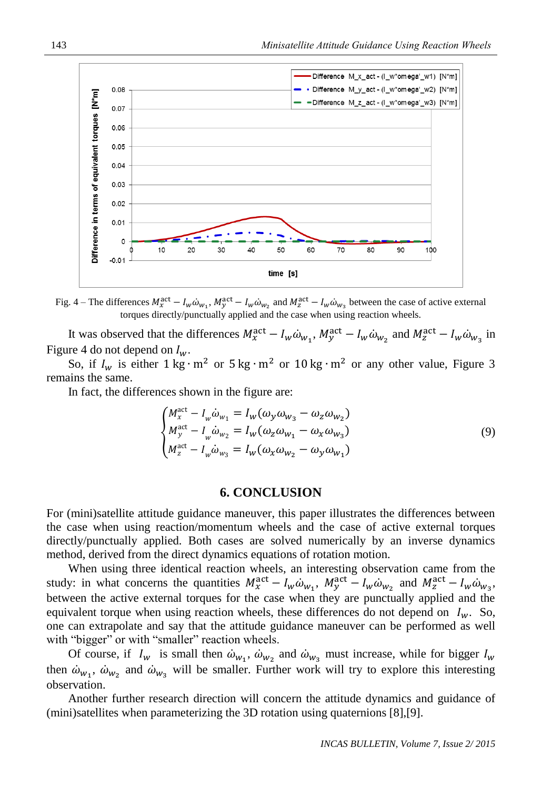

Fig. 4 – The differences  $M_x^{\text{act}} - I_w \dot{\omega}_{w_1}$ ,  $M_y^{\text{act}} - I_w \dot{\omega}_{w_2}$  and  $M_z^{\text{act}} - I_w \dot{\omega}_{w_3}$  between the case of active external torques directly/punctually applied and the case when using reaction wheels.

It was observed that the differences  $M_x^{\text{act}} - I_w \dot{\omega}_{w_1}$ ,  $M_y^{\text{act}} - I_w \dot{\omega}_{w_2}$  and  $M_z^{\text{act}} - I_w \dot{\omega}_{w_3}$  in Figure 4 do not depend on  $I_w$ .

So, if  $I_w$  is either  $1 \text{ kg} \cdot \text{m}^2$  or  $5 \text{ kg} \cdot \text{m}^2$  or  $10 \text{ kg} \cdot \text{m}^2$  or any other value, Figure 3 remains the same.

In fact, the differences shown in the figure are:

$$
\begin{cases}\nM_x^{\text{act}} - I_w \dot{\omega}_{w_1} = I_w (\omega_y \omega_{w_3} - \omega_z \omega_{w_2}) \\
M_y^{\text{act}} - I_w \dot{\omega}_{w_2} = I_w (\omega_z \omega_{w_1} - \omega_x \omega_{w_3}) \\
M_z^{\text{act}} - I_w \dot{\omega}_{w_3} = I_w (\omega_x \omega_{w_2} - \omega_y \omega_{w_1})\n\end{cases} \tag{9}
$$

#### **6. CONCLUSION**

For (mini)satellite attitude guidance maneuver, this paper illustrates the differences between the case when using reaction/momentum wheels and the case of active external torques directly/punctually applied. Both cases are solved numerically by an inverse dynamics method, derived from the direct dynamics equations of rotation motion.

When using three identical reaction wheels, an interesting observation came from the study: in what concerns the quantities  $M_x^{\text{act}} - I_w \dot{\omega}_{w_1}$ ,  $M_y^{\text{act}} - I_w \dot{\omega}_{w_2}$  and  $M_z^{\text{act}} - I_w \dot{\omega}_{w_3}$ , between the active external torques for the case when they are punctually applied and the equivalent torque when using reaction wheels, these differences do not depend on  $I_w$ . So, one can extrapolate and say that the attitude guidance maneuver can be performed as well with "bigger" or with "smaller" reaction wheels.

Of course, if  $I_w$  is small then  $\dot{\omega}_{w_1}$ ,  $\dot{\omega}_{w_2}$  and  $\dot{\omega}_{w_3}$  must increase, while for bigger  $I_w$ then  $\dot{\omega}_{w_1}$ ,  $\dot{\omega}_{w_2}$  and  $\dot{\omega}_{w_3}$  will be smaller. Further work will try to explore this interesting observation.

Another further research direction will concern the attitude dynamics and guidance of (mini)satellites when parameterizing the 3D rotation using quaternions [8],[9].